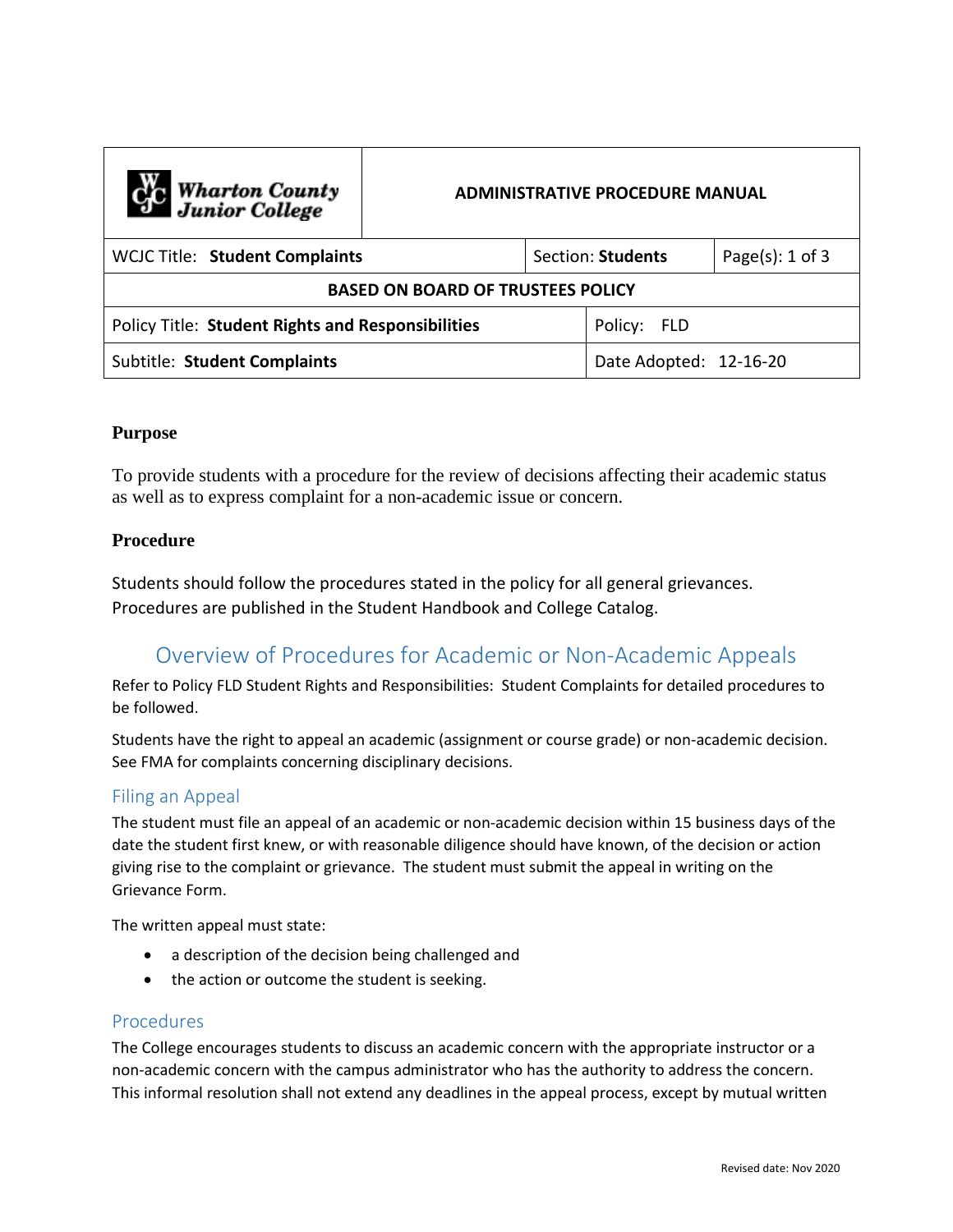| C <sub>1</sub> C Wharton County<br>Junior College        | <b>ADMINISTRATIVE PROCEDURE MANUAL</b> |                   |                        |                     |
|----------------------------------------------------------|----------------------------------------|-------------------|------------------------|---------------------|
| WCJC Title: Student Complaints                           |                                        | Section: Students |                        | Page $(s)$ : 1 of 3 |
| <b>BASED ON BOARD OF TRUSTEES POLICY</b>                 |                                        |                   |                        |                     |
| <b>Policy Title: Student Rights and Responsibilities</b> |                                        |                   | Policy: FLD            |                     |
| Subtitle: Student Complaints                             |                                        |                   | Date Adopted: 12-16-20 |                     |

### **Purpose**

To provide students with a procedure for the review of decisions affecting their academic status as well as to express complaint for a non-academic issue or concern.

## **Procedure**

Students should follow the procedures stated in the policy for all general grievances. Procedures are published in the Student Handbook and College Catalog.

# Overview of Procedures for Academic or Non-Academic Appeals

Refer to Policy FLD Student Rights and Responsibilities: Student Complaints for detailed procedures to be followed.

Students have the right to appeal an academic (assignment or course grade) or non-academic decision. See FMA for complaints concerning disciplinary decisions.

### Filing an Appeal

The student must file an appeal of an academic or non-academic decision within 15 business days of the date the student first knew, or with reasonable diligence should have known, of the decision or action giving rise to the complaint or grievance. The student must submit the appeal in writing on the Grievance Form.

The written appeal must state:

- a description of the decision being challenged and
- the action or outcome the student is seeking.

### Procedures

The College encourages students to discuss an academic concern with the appropriate instructor or a non-academic concern with the campus administrator who has the authority to address the concern. This informal resolution shall not extend any deadlines in the appeal process, except by mutual written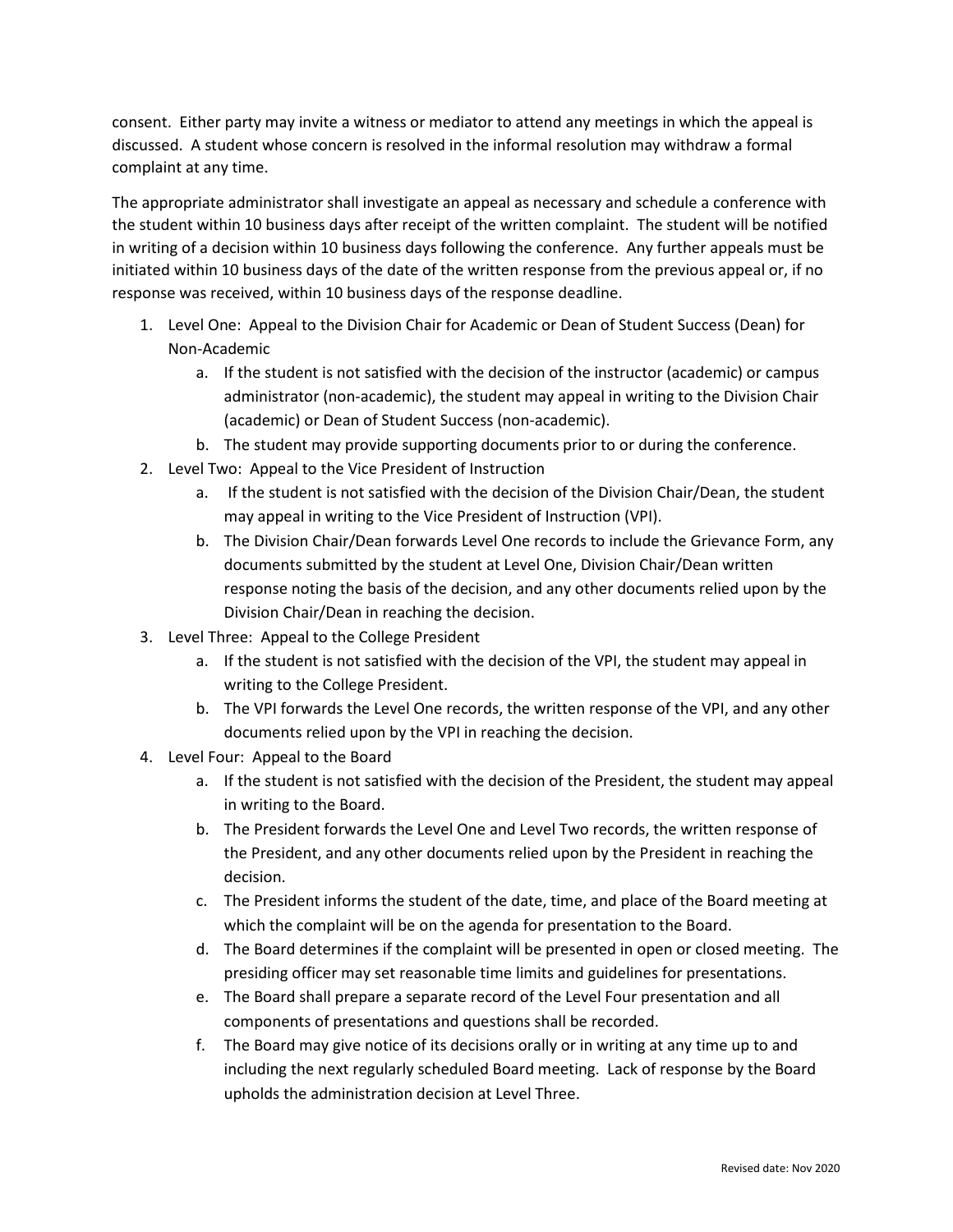consent. Either party may invite a witness or mediator to attend any meetings in which the appeal is discussed. A student whose concern is resolved in the informal resolution may withdraw a formal complaint at any time.

The appropriate administrator shall investigate an appeal as necessary and schedule a conference with the student within 10 business days after receipt of the written complaint. The student will be notified in writing of a decision within 10 business days following the conference. Any further appeals must be initiated within 10 business days of the date of the written response from the previous appeal or, if no response was received, within 10 business days of the response deadline.

- 1. Level One: Appeal to the Division Chair for Academic or Dean of Student Success (Dean) for Non-Academic
	- a. If the student is not satisfied with the decision of the instructor (academic) or campus administrator (non-academic), the student may appeal in writing to the Division Chair (academic) or Dean of Student Success (non-academic).
	- b. The student may provide supporting documents prior to or during the conference.
- 2. Level Two: Appeal to the Vice President of Instruction
	- a. If the student is not satisfied with the decision of the Division Chair/Dean, the student may appeal in writing to the Vice President of Instruction (VPI).
	- b. The Division Chair/Dean forwards Level One records to include the Grievance Form, any documents submitted by the student at Level One, Division Chair/Dean written response noting the basis of the decision, and any other documents relied upon by the Division Chair/Dean in reaching the decision.
- 3. Level Three: Appeal to the College President
	- a. If the student is not satisfied with the decision of the VPI, the student may appeal in writing to the College President.
	- b. The VPI forwards the Level One records, the written response of the VPI, and any other documents relied upon by the VPI in reaching the decision.
- 4. Level Four: Appeal to the Board
	- a. If the student is not satisfied with the decision of the President, the student may appeal in writing to the Board.
	- b. The President forwards the Level One and Level Two records, the written response of the President, and any other documents relied upon by the President in reaching the decision.
	- c. The President informs the student of the date, time, and place of the Board meeting at which the complaint will be on the agenda for presentation to the Board.
	- d. The Board determines if the complaint will be presented in open or closed meeting. The presiding officer may set reasonable time limits and guidelines for presentations.
	- e. The Board shall prepare a separate record of the Level Four presentation and all components of presentations and questions shall be recorded.
	- f. The Board may give notice of its decisions orally or in writing at any time up to and including the next regularly scheduled Board meeting. Lack of response by the Board upholds the administration decision at Level Three.